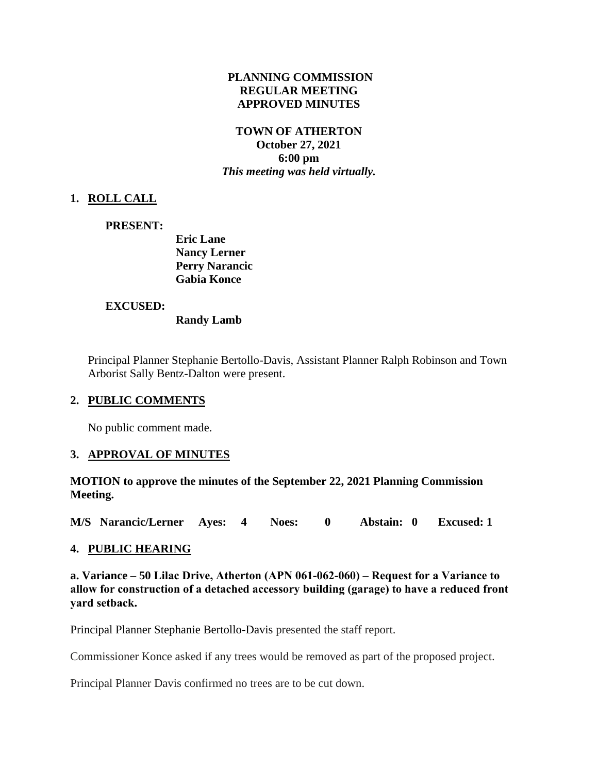#### **PLANNING COMMISSION REGULAR MEETING APPROVED MINUTES**

#### **TOWN OF ATHERTON October 27, 2021 6:00 pm** *This meeting was held virtually.*

## **1. ROLL CALL**

#### **PRESENT:**

**Eric Lane Nancy Lerner Perry Narancic Gabia Konce**

#### **EXCUSED:**

**Randy Lamb**

Principal Planner Stephanie Bertollo-Davis, Assistant Planner Ralph Robinson and Town Arborist Sally Bentz-Dalton were present.

#### **2. PUBLIC COMMENTS**

No public comment made.

## **3. APPROVAL OF MINUTES**

**MOTION to approve the minutes of the September 22, 2021 Planning Commission Meeting.**

**M/S Narancic/Lerner Ayes: 4 Noes: 0 Abstain: 0 Excused: 1**

## **4. PUBLIC HEARING**

**a. Variance – 50 Lilac Drive, Atherton (APN 061-062-060) – Request for a Variance to allow for construction of a detached accessory building (garage) to have a reduced front yard setback.**

Principal Planner Stephanie Bertollo-Davis presented the staff report.

Commissioner Konce asked if any trees would be removed as part of the proposed project.

Principal Planner Davis confirmed no trees are to be cut down.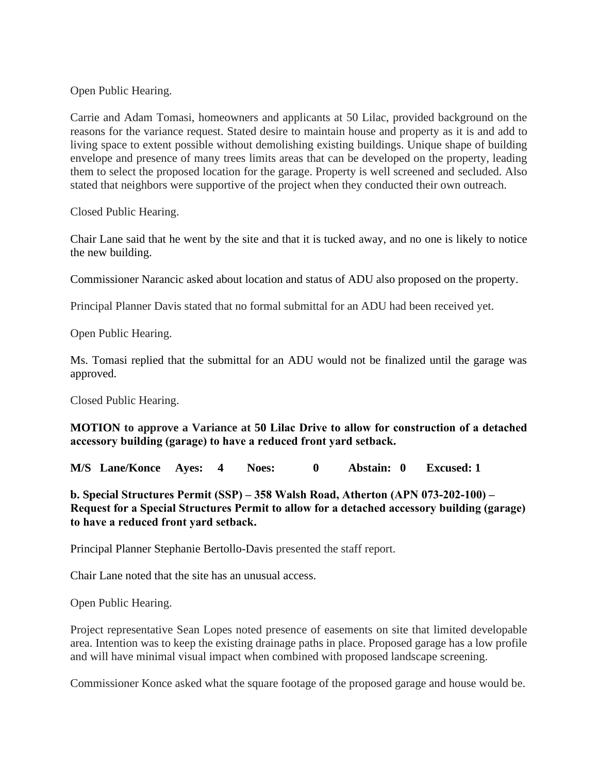Open Public Hearing.

Carrie and Adam Tomasi, homeowners and applicants at 50 Lilac, provided background on the reasons for the variance request. Stated desire to maintain house and property as it is and add to living space to extent possible without demolishing existing buildings. Unique shape of building envelope and presence of many trees limits areas that can be developed on the property, leading them to select the proposed location for the garage. Property is well screened and secluded. Also stated that neighbors were supportive of the project when they conducted their own outreach.

Closed Public Hearing.

Chair Lane said that he went by the site and that it is tucked away, and no one is likely to notice the new building.

Commissioner Narancic asked about location and status of ADU also proposed on the property.

Principal Planner Davis stated that no formal submittal for an ADU had been received yet.

Open Public Hearing.

Ms. Tomasi replied that the submittal for an ADU would not be finalized until the garage was approved.

Closed Public Hearing.

**MOTION to approve a Variance at 50 Lilac Drive to allow for construction of a detached accessory building (garage) to have a reduced front yard setback.**

**M/S Lane/Konce Ayes: 4 Noes: 0 Abstain: 0 Excused: 1**

**b. [Special](https://www.ci.atherton.ca.us/DocumentCenter/View/9387/67-Redwood-Combined-Packet-9222021) Structures Permit (SSP) – 358 Walsh Road, Atherton (APN 073-202-100) – Request for a Special Structures Permit to allow for a detached accessory building (garage) to have a reduced front yard setback.**

Principal Planner Stephanie Bertollo-Davis presented the staff report.

Chair Lane noted that the site has an unusual access.

Open Public Hearing.

Project representative Sean Lopes noted presence of easements on site that limited developable area. Intention was to keep the existing drainage paths in place. Proposed garage has a low profile and will have minimal visual impact when combined with proposed landscape screening.

Commissioner Konce asked what the square footage of the proposed garage and house would be.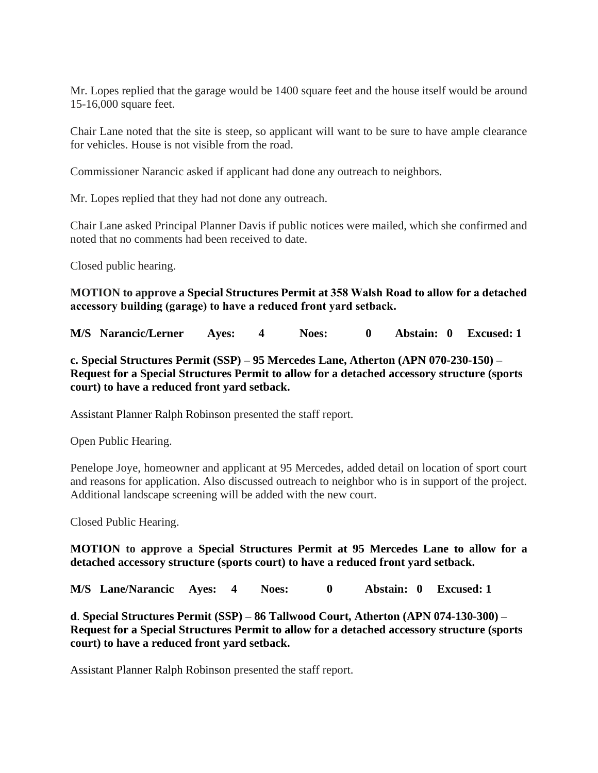Mr. Lopes replied that the garage would be 1400 square feet and the house itself would be around 15-16,000 square feet.

Chair Lane noted that the site is steep, so applicant will want to be sure to have ample clearance for vehicles. House is not visible from the road.

Commissioner Narancic asked if applicant had done any outreach to neighbors.

Mr. Lopes replied that they had not done any outreach.

Chair Lane asked Principal Planner Davis if public notices were mailed, which she confirmed and noted that no comments had been received to date.

Closed public hearing.

**MOTION to approve a Special Structures Permit at 358 Walsh Road to allow for a detached accessory building (garage) to have a reduced front yard setback.**

**M/S Narancic/Lerner Ayes: 4 Noes: 0 Abstain: 0 Excused: 1**

**c. [Special](https://www.ci.atherton.ca.us/DocumentCenter/View/9387/67-Redwood-Combined-Packet-9222021) Structures Permit (SSP) – 95 Mercedes Lane, Atherton (APN 070-230-150) – Request for a Special Structures Permit to allow for a detached accessory structure (sports court) to have a reduced front yard setback.**

Assistant Planner Ralph Robinson presented the staff report.

Open Public Hearing.

Penelope Joye, homeowner and applicant at 95 Mercedes, added detail on location of sport court and reasons for application. Also discussed outreach to neighbor who is in support of the project. Additional landscape screening will be added with the new court.

Closed Public Hearing.

**MOTION to approve a Special Structures Permit at 95 Mercedes Lane to allow for a detached accessory structure (sports court) to have a reduced front yard setback.**

**M/S Lane/Narancic Ayes: 4 Noes: 0 Abstain: 0 Excused: 1**

**d**. **[Special Structures Permit \(SSP\) –](https://www.ci.atherton.ca.us/DocumentCenter/View/9387/67-Redwood-Combined-Packet-9222021) 86 Tallwood Court, Atherton (APN 074-130-300) – Request for a Special Structures Permit to allow for a detached accessory structure (sports court) to have a reduced front yard setback.**

Assistant Planner Ralph Robinson presented the staff report.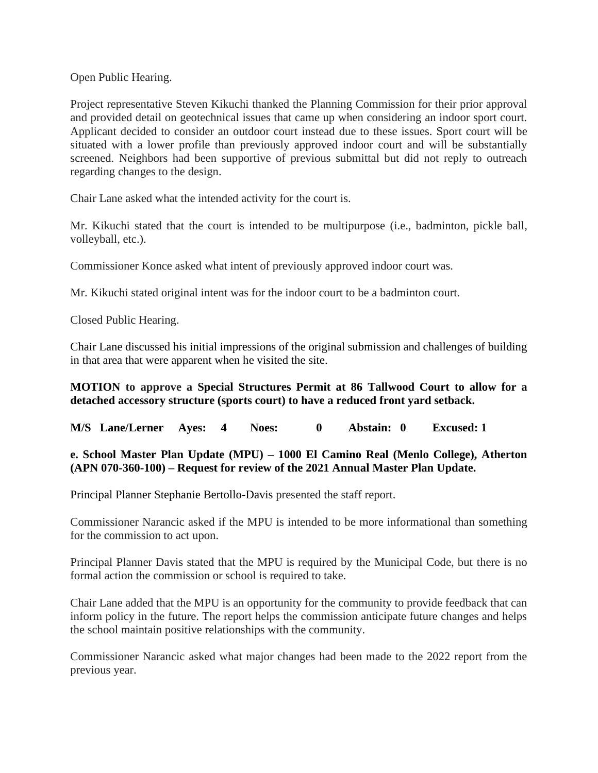Open Public Hearing.

Project representative Steven Kikuchi thanked the Planning Commission for their prior approval and provided detail on geotechnical issues that came up when considering an indoor sport court. Applicant decided to consider an outdoor court instead due to these issues. Sport court will be situated with a lower profile than previously approved indoor court and will be substantially screened. Neighbors had been supportive of previous submittal but did not reply to outreach regarding changes to the design.

Chair Lane asked what the intended activity for the court is.

Mr. Kikuchi stated that the court is intended to be multipurpose (i.e., badminton, pickle ball, volleyball, etc.).

Commissioner Konce asked what intent of previously approved indoor court was.

Mr. Kikuchi stated original intent was for the indoor court to be a badminton court.

Closed Public Hearing.

Chair Lane discussed his initial impressions of the original submission and challenges of building in that area that were apparent when he visited the site.

## **MOTION to approve a Special Structures Permit at 86 Tallwood Court to allow for a detached accessory structure (sports court) to have a reduced front yard setback.**

**M/S Lane/Lerner Ayes: 4 Noes: 0 Abstain: 0 Excused: 1**

## **e. School Master Plan Update (MPU) – 1000 El Camino Real (Menlo College), Atherton (APN 070-360-100) – Request for review of the 2021 Annual Master Plan Update.**

Principal Planner Stephanie Bertollo-Davis presented the staff report.

Commissioner Narancic asked if the MPU is intended to be more informational than something for the commission to act upon.

Principal Planner Davis stated that the MPU is required by the Municipal Code, but there is no formal action the commission or school is required to take.

Chair Lane added that the MPU is an opportunity for the community to provide feedback that can inform policy in the future. The report helps the commission anticipate future changes and helps the school maintain positive relationships with the community.

Commissioner Narancic asked what major changes had been made to the 2022 report from the previous year.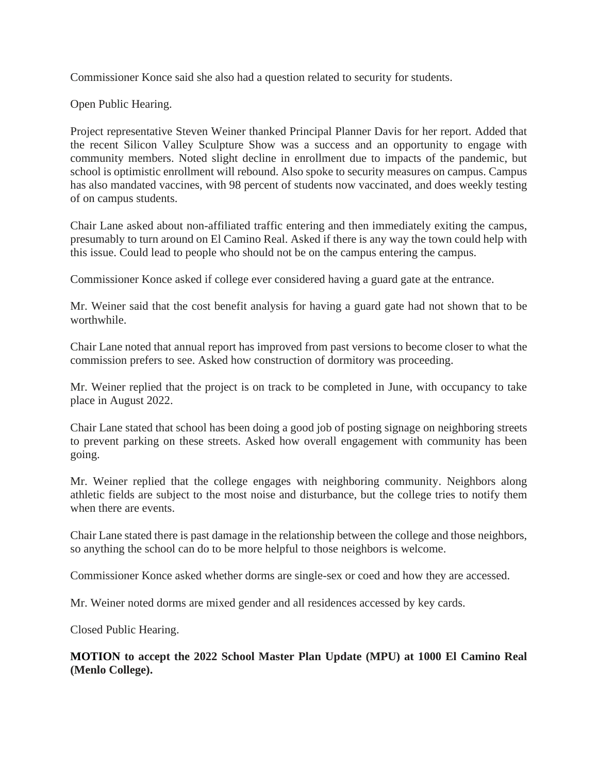Commissioner Konce said she also had a question related to security for students.

Open Public Hearing.

Project representative Steven Weiner thanked Principal Planner Davis for her report. Added that the recent Silicon Valley Sculpture Show was a success and an opportunity to engage with community members. Noted slight decline in enrollment due to impacts of the pandemic, but school is optimistic enrollment will rebound. Also spoke to security measures on campus. Campus has also mandated vaccines, with 98 percent of students now vaccinated, and does weekly testing of on campus students.

Chair Lane asked about non-affiliated traffic entering and then immediately exiting the campus, presumably to turn around on El Camino Real. Asked if there is any way the town could help with this issue. Could lead to people who should not be on the campus entering the campus.

Commissioner Konce asked if college ever considered having a guard gate at the entrance.

Mr. Weiner said that the cost benefit analysis for having a guard gate had not shown that to be worthwhile.

Chair Lane noted that annual report has improved from past versions to become closer to what the commission prefers to see. Asked how construction of dormitory was proceeding.

Mr. Weiner replied that the project is on track to be completed in June, with occupancy to take place in August 2022.

Chair Lane stated that school has been doing a good job of posting signage on neighboring streets to prevent parking on these streets. Asked how overall engagement with community has been going.

Mr. Weiner replied that the college engages with neighboring community. Neighbors along athletic fields are subject to the most noise and disturbance, but the college tries to notify them when there are events.

Chair Lane stated there is past damage in the relationship between the college and those neighbors, so anything the school can do to be more helpful to those neighbors is welcome.

Commissioner Konce asked whether dorms are single-sex or coed and how they are accessed.

Mr. Weiner noted dorms are mixed gender and all residences accessed by key cards.

Closed Public Hearing.

**MOTION to accept the 2022 School Master Plan Update (MPU) at 1000 El Camino Real (Menlo College).**